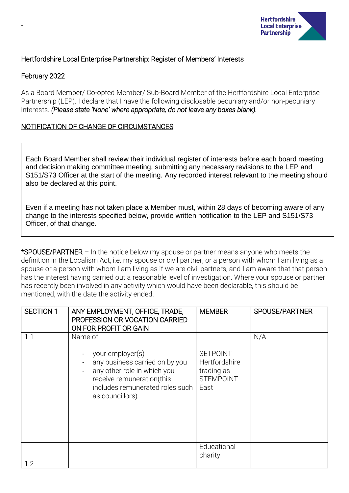

# Hertfordshire Local Enterprise Partnership: Register of Members' Interests

# February 2022

-

As a Board Member/ Co-opted Member/ Sub-Board Member of the Hertfordshire Local Enterprise Partnership (LEP). I declare that I have the following disclosable pecuniary and/or non-pecuniary interests. *(Please state 'None' where appropriate, do not leave any boxes blank).*

# NOTIFICATION OF CHANGE OF CIRCUMSTANCES

Each Board Member shall review their individual register of interests before each board meeting and decision making committee meeting, submitting any necessary revisions to the LEP and S151/S73 Officer at the start of the meeting. Any recorded interest relevant to the meeting should also be declared at this point.

Even if a meeting has not taken place a Member must, within 28 days of becoming aware of any change to the interests specified below, provide written notification to the LEP and S151/S73 Officer, of that change.

\*SPOUSE/PARTNER – In the notice below my spouse or partner means anyone who meets the definition in the Localism Act, i.e. my spouse or civil partner, or a person with whom I am living as a spouse or a person with whom I am living as if we are civil partners, and I am aware that that person has the interest having carried out a reasonable level of investigation. Where your spouse or partner has recently been involved in any activity which would have been declarable, this should be mentioned, with the date the activity ended.

| <b>SECTION 1</b> | ANY EMPLOYMENT, OFFICE, TRADE,<br>PROFESSION OR VOCATION CARRIED<br>ON FOR PROFIT OR GAIN                                                                                        | <b>MEMBER</b>                                                              | SPOUSE/PARTNER |
|------------------|----------------------------------------------------------------------------------------------------------------------------------------------------------------------------------|----------------------------------------------------------------------------|----------------|
| 1.1              | Name of:<br>your employer(s)<br>any business carried on by you<br>any other role in which you<br>receive remuneration(this<br>includes remunerated roles such<br>as councillors) | <b>SETPOINT</b><br>Hertfordshire<br>trading as<br><b>STEMPOINT</b><br>East | N/A            |
| 1.2              |                                                                                                                                                                                  | Educational<br>charity                                                     |                |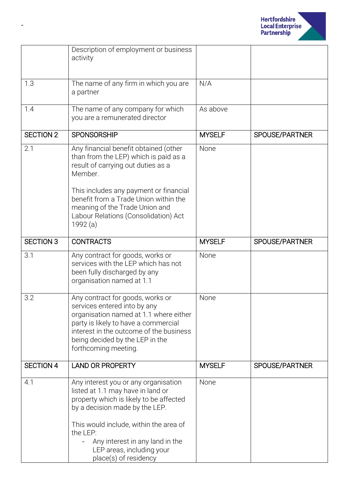

|                  | Description of employment or business<br>activity                                                                                                                                                                                                                                                     |               |                |
|------------------|-------------------------------------------------------------------------------------------------------------------------------------------------------------------------------------------------------------------------------------------------------------------------------------------------------|---------------|----------------|
| 1.3              | The name of any firm in which you are<br>a partner                                                                                                                                                                                                                                                    | N/A           |                |
| 1.4              | The name of any company for which<br>you are a remunerated director                                                                                                                                                                                                                                   | As above      |                |
| <b>SECTION 2</b> | <b>SPONSORSHIP</b>                                                                                                                                                                                                                                                                                    | <b>MYSELF</b> | SPOUSE/PARTNER |
| 2.1              | Any financial benefit obtained (other<br>than from the LEP) which is paid as a<br>result of carrying out duties as a<br>Member.<br>This includes any payment or financial<br>benefit from a Trade Union within the                                                                                    | None          |                |
|                  | meaning of the Trade Union and<br>Labour Relations (Consolidation) Act<br>1992 (a)                                                                                                                                                                                                                    |               |                |
| <b>SECTION 3</b> | <b>CONTRACTS</b>                                                                                                                                                                                                                                                                                      | <b>MYSELF</b> | SPOUSE/PARTNER |
| 3.1              | Any contract for goods, works or<br>services with the LEP which has not<br>been fully discharged by any<br>organisation named at 1.1                                                                                                                                                                  | None          |                |
| 3.2              | Any contract for goods, works or<br>services entered into by any<br>organisation named at 1.1 where either<br>party is likely to have a commercial<br>interest in the outcome of the business<br>being decided by the LEP in the<br>forthcoming meeting.                                              | None          |                |
| <b>SECTION 4</b> | <b>LAND OR PROPERTY</b>                                                                                                                                                                                                                                                                               | <b>MYSELF</b> | SPOUSE/PARTNER |
| 4.1              | Any interest you or any organisation<br>listed at 1.1 may have in land or<br>property which is likely to be affected<br>by a decision made by the LEP.<br>This would include, within the area of<br>the LEP:<br>Any interest in any land in the<br>LEP areas, including your<br>place(s) of residency | None          |                |

-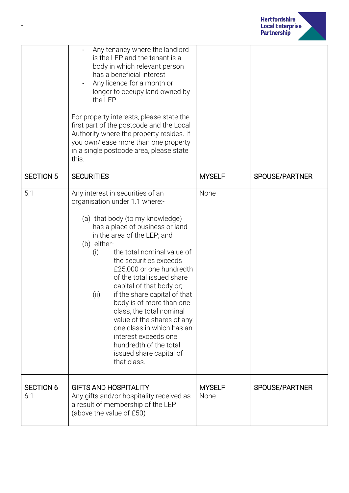

|                  | Any tenancy where the landlord<br>is the LEP and the tenant is a<br>body in which relevant person<br>has a beneficial interest<br>Any licence for a month or<br>longer to occupy land owned by<br>the LEP<br>For property interests, please state the<br>first part of the postcode and the Local<br>Authority where the property resides. If<br>you own/lease more than one property<br>in a single postcode area, please state<br>this.                                                                                                                                                         |               |                |
|------------------|---------------------------------------------------------------------------------------------------------------------------------------------------------------------------------------------------------------------------------------------------------------------------------------------------------------------------------------------------------------------------------------------------------------------------------------------------------------------------------------------------------------------------------------------------------------------------------------------------|---------------|----------------|
| <b>SECTION 5</b> | <b>SECURITIES</b>                                                                                                                                                                                                                                                                                                                                                                                                                                                                                                                                                                                 | <b>MYSELF</b> | SPOUSE/PARTNER |
| 5.1              | Any interest in securities of an<br>organisation under 1.1 where:-<br>(a) that body (to my knowledge)<br>has a place of business or land<br>in the area of the LEP; and<br>(b) either-<br>the total nominal value of<br>(i)<br>the securities exceeds<br>£25,000 or one hundredth<br>of the total issued share<br>capital of that body or;<br>if the share capital of that<br>(ii)<br>body is of more than one<br>class, the total nominal<br>value of the shares of any<br>one class in which has an<br>interest exceeds one<br>hundredth of the total<br>issued share capital of<br>that class. | None          |                |
| <b>SECTION 6</b> | <b>GIFTS AND HOSPITALITY</b>                                                                                                                                                                                                                                                                                                                                                                                                                                                                                                                                                                      | <b>MYSELF</b> | SPOUSE/PARTNER |
| 6.1              | Any gifts and/or hospitality received as<br>a result of membership of the LEP<br>(above the value of £50)                                                                                                                                                                                                                                                                                                                                                                                                                                                                                         | None          |                |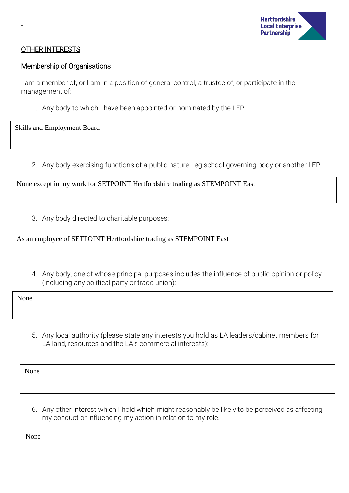

### OTHER INTERESTS

-

#### Membership of Organisations

I am a member of, or I am in a position of general control, a trustee of, or participate in the management of:

1. Any body to which I have been appointed or nominated by the LEP:

Skills and Employment Board

2. Any body exercising functions of a public nature - eg school governing body or another LEP:

None except in my work for SETPOINT Hertfordshire trading as STEMPOINT East

3. Any body directed to charitable purposes:

As an employee of SETPOINT Hertfordshire trading as STEMPOINT East

4. Any body, one of whose principal purposes includes the influence of public opinion or policy (including any political party or trade union):

None

5. Any local authority (please state any interests you hold as LA leaders/cabinet members for LA land, resources and the LA's commercial interests):

None

6. Any other interest which I hold which might reasonably be likely to be perceived as affecting my conduct or influencing my action in relation to my role.

None